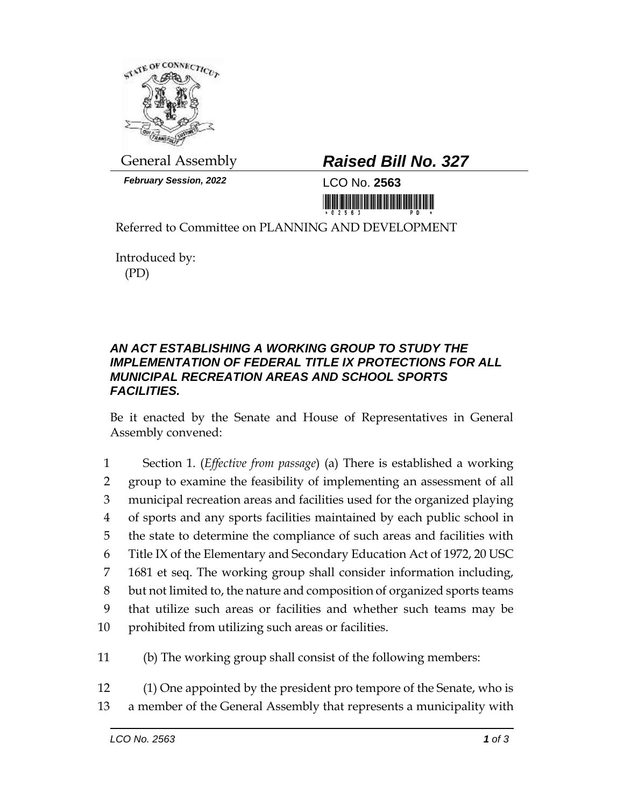

*February Session, 2022* LCO No. **2563**

## General Assembly *Raised Bill No. 327*

<u> III Million Maria Maria Maria Maria Maria Maria Maria Maria Maria Maria Maria Maria Maria Maria Maria Maria M</u>

Referred to Committee on PLANNING AND DEVELOPMENT

Introduced by: (PD)

## *AN ACT ESTABLISHING A WORKING GROUP TO STUDY THE IMPLEMENTATION OF FEDERAL TITLE IX PROTECTIONS FOR ALL MUNICIPAL RECREATION AREAS AND SCHOOL SPORTS FACILITIES.*

Be it enacted by the Senate and House of Representatives in General Assembly convened:

 Section 1. (*Effective from passage*) (a) There is established a working group to examine the feasibility of implementing an assessment of all municipal recreation areas and facilities used for the organized playing of sports and any sports facilities maintained by each public school in the state to determine the compliance of such areas and facilities with Title IX of the Elementary and Secondary Education Act of 1972, 20 USC 1681 et seq. The working group shall consider information including, but not limited to, the nature and composition of organized sports teams that utilize such areas or facilities and whether such teams may be prohibited from utilizing such areas or facilities.

11 (b) The working group shall consist of the following members:

12 (1) One appointed by the president pro tempore of the Senate, who is 13 a member of the General Assembly that represents a municipality with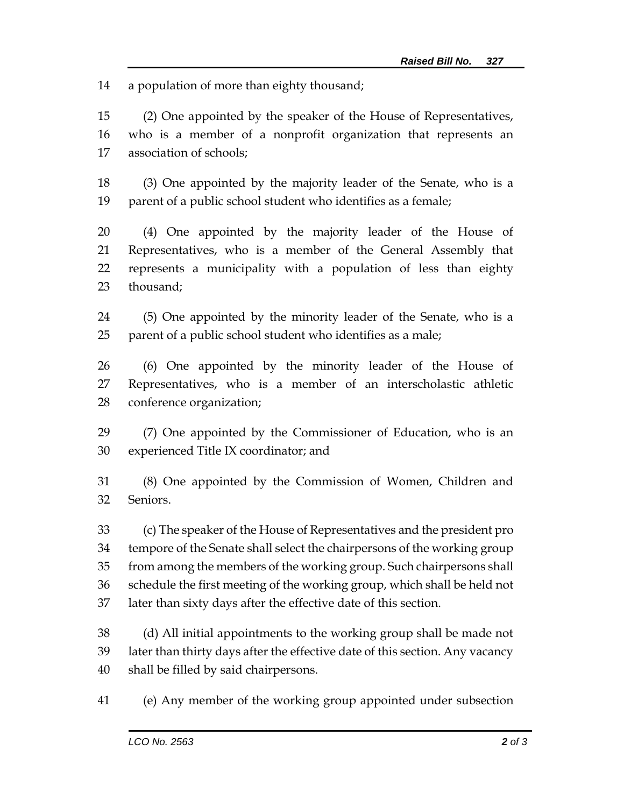a population of more than eighty thousand;

 (2) One appointed by the speaker of the House of Representatives, who is a member of a nonprofit organization that represents an association of schools;

 (3) One appointed by the majority leader of the Senate, who is a parent of a public school student who identifies as a female;

 (4) One appointed by the majority leader of the House of Representatives, who is a member of the General Assembly that represents a municipality with a population of less than eighty thousand;

 (5) One appointed by the minority leader of the Senate, who is a parent of a public school student who identifies as a male;

 (6) One appointed by the minority leader of the House of Representatives, who is a member of an interscholastic athletic conference organization;

 (7) One appointed by the Commissioner of Education, who is an experienced Title IX coordinator; and

 (8) One appointed by the Commission of Women, Children and Seniors.

 (c) The speaker of the House of Representatives and the president pro tempore of the Senate shall select the chairpersons of the working group from among the members of the working group. Such chairpersons shall schedule the first meeting of the working group, which shall be held not later than sixty days after the effective date of this section.

 (d) All initial appointments to the working group shall be made not later than thirty days after the effective date of this section. Any vacancy shall be filled by said chairpersons.

(e) Any member of the working group appointed under subsection